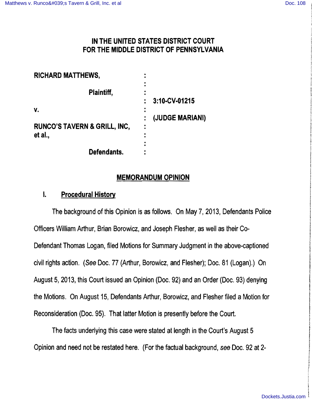errores

distantibuid.

t

**(Continued)** 

In the Electric Control of the Academic Academic Control of the

**Intelection** f

I<br>International Action

**,** 

## IN THE UNITED STATES DISTRICT COURT FOR THE MIDDLE DISTRICT OF PENNSYLVANIA

| <b>RICHARD MATTHEWS,</b>     |                    |
|------------------------------|--------------------|
| Plaintiff,                   | 3:10-CV-01215<br>٠ |
| V.                           |                    |
| RUNCO'S TAVERN & GRILL, INC, | (JUDGE MARIANI)    |
| et al.,                      |                    |
| Defendants.                  |                    |
|                              |                    |

### **MEMORANDUM OPINION**

### I. Procedural History

The background of this Opinion is as follows. On May 7, 2013, Defendants Police Officers William Arthur, Brian Borowicz, and Joseph Flesher, as well as their Co-Defendant Thomas Logan, filed Motions for Summary Judgment in the above-captioned civil rights action. (See Doc. 77 (Arthur, Borowicz, and Flesher); Doc. 81 (Logan).) On August 5, 2013, this Court issued an Opinion (Doc. 92) and an Order (Doc. 93) denying the Motions. On August 15, Defendants Arthur, Borowicz, and Flesher filed a Motion for Reconsideration (Doc. 95). That latter Motion is presently before the Court.

The facts underlying this case were stated at length in the Court's August 5 Opinion and need not be restated here. (For the factual background, see Doc. 92 at 2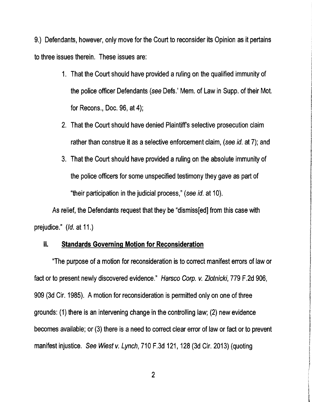9.) Defendants, however, only move for the Court to reconsider its Opinion as it pertains to three issues therein. These issues are:

- 1. That the Court should have provided a ruling on the qualified immunity of the police officer Defendants (see Defs.' Mem. of Law in Supp. of their Mot. for Recons., Doc.  $96$ , at  $4$ );
- 2. That the Court should have denied Plaintiff's selective prosecution claim rather than construe it as a selective enforcement claim, (see id. at 7); and

*<i><u>PERMIT AND STATES OF THE STATES OF THE STATES OF THE STATES OF THE STATES OF THE STATES OF THE STATES OF THE STATES OF THE STATES OF THE STATES OF THE STATES OF THE STATES OF THE STATES OF THE STATES OF THE STATES OF T*</u> **KENVING** 

!

**International State** I

I

**International** 

t

, t

t

3. That the Court should have provided a ruling on the absolute immunity of the police officers for some unspecified testimony they gave as part of "their participation in the judicial process," (see id. at 10).

As relief, the Defendants request that they be "dismiss[ed] from this case with prejudice." (Id. at 11.)

### II. **Standards Governing Motion for Reconsideration**

"The purpose of a motion for reconsideration is to correct manifest errors of law or , fact or to present newly discovered evidence." Harsco Corp. v. Zlotnicki, 779 F.2d 906, 909 (3d Cir. 1985). A motion for reconsideration is permitted only on one of three grounds: (1) there is an intervening change in the controlling law; (2) new evidence becomes available; or (3) there is aneed to correct clear error of law or fact or to prevent manifest injustice. See Wiest v. Lynch, 710 F.3d 121, 128 (3d Cir. 2013) (quoting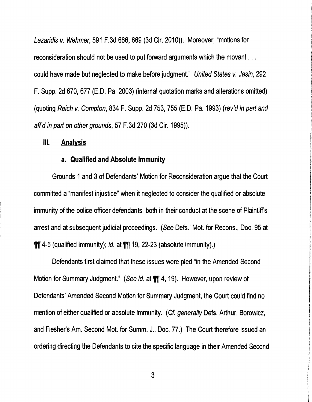Lazaridis v. Wehmer, 591 F.3d 666, 669 (3d Cir. 2010)). Moreover, "motions for reconsideration should not be used to put forward arguments which the movant ... could have made but neglected to make before judgment." United States v. Jasin, 292 F. Supp. 2d 670,677 (E.D. Pa. 2003) (internal quotation marks and alterations omitted) (quoting Reich v. Compton, 834 F. Supp. 2d 753,755 (E.D. Pa. 1993) (rev'd in pari and affd in pari on other grounds, 57 F.3d 270 (3d Cir. 1995)). **III.** Analysis **Analysis III.** Analysis **Analysis III.** Analysis **III.** Analysis **III.** Analysis **III.** Analysis **III.** Analysis **III.** Analysis **III.** Analysis **III.** Analysis **III.** Analysis **III.** Analysis **III.** A

### a. **Qualified and Absolute Immunity** <sup>f</sup>

Grounds 1and 3of Defendants' Motion for Reconsideration argue that the Court committed a"manifest injustice" when it neglected to consider the qualified or absolute immunity of the police officer defendants, both in their conduct at the scene of Plaintiff's arrest and at subsequent judicial proceedings. (See Defs.' Mot. for Recons., Doc. 95 at  $\qquad \qquad \mid$ **1.4.5** (qualified immunity); *id.* at  $\mathbb{1}$  19, 22-23 (absolute immunity).)

**readers** 

[ t

i

j

is a manuscription of the second control of the second second second for the second second second second second<br>والمحاولة المحاولة المحاولة المحاولة المحاولة المحاولة المحاولة المحاولة المحاولة المحاولة المحاولة المحاولة

Defendants first claimed that these issues were pled "in the Amended Second Motion for Summary Judgment." (See id. at  $\P$ ] 4, 19). However, upon review of Defendants' Amended Second Motion for Summary Judgment, the Court could find no mention of either qualified or absolute immunity. (Cf. generally Defs. Arthur, Borowicz, and Flesher's Am. Second Mot. for Summ. J., Doc. 77.) The Court therefore issued an ordering directing the Defendants to cite the specific language in their Amended Second I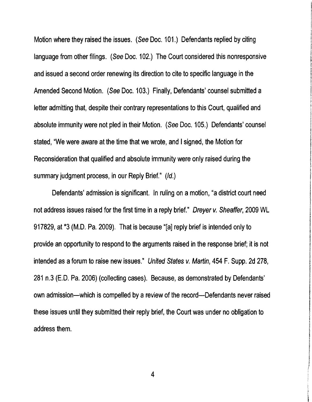Motion where they raised the issues. (See Doc. 101.) Defendants replied by citing language from other filings. (See Doc. 102.) The Court considered this nonresponsive and issued asecond order renewing its direction to cite to specific language in the Amended Second Motion. (See Doc. 103.) Finally, Defendants' counsel submitted a letter admitting that, despite their contrary representations to this Court, qualified and absolute immunity were not pled in their Motion. (See Doc. 105.) Defendants' counsel stated, "We were aware at the time that we wrote, and I signed, the Motion for Reconsideration that qualified and absolute immunity were only raised during the summary judgment process, in our Reply Brief." (Id.)

Defendants' admission is significant. In ruling on a motion, "a district court need not address issues raised for the first time in a reply brief." Dreyer v. Sheaffer, 2009 WL 917829, at \*3 (M.D. Pa. 2009). That is because "[a] reply brief is intended only to provide an opportunity to respond to the arguments raised in the response brief; it is not intended as a forum to raise new issues." United States v. Martin, 454 F. Supp. 2d 278, 281 n.3 (E.D. Pa. 2006) (collecting cases). Because, as demonstrated by Defendants' own admission—which is compelled by a review of the record—Defendants never raised these issues until they submitted their reply brief, the Court was under no obligation to address them.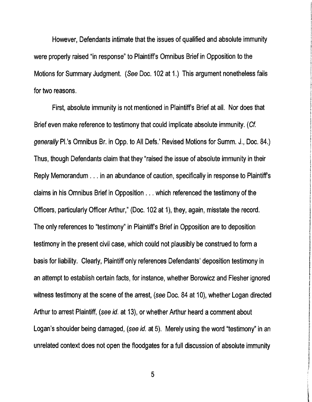However, Defendants intimate that the issues of qualified and absolute immunity were properly raised "in response" to Plaintiffs Omnibus Brief in Opposition to the Motions for Summary Judgment. (See Doc. 102 at 1.) This argument nonetheless fails for two reasons.

First, absolute immunity is not mentioned in Plaintiffs Brief at all. Nor does that Brief even make reference to testimony that could implicate absolute immunity. (Cf. generally PI.'s Omnibus Br. in Opp. to All Defs.' Revised Motions for Summ. J., Doc. 84.) Thus, though Defendants claim that they "raised the issue of absolute immunity in their Reply Memorandum ... in an abundance of caution, specifically in response to Plaintiffs claims in his Omnibus Brief in Opposition ... which referenced the testimony of the Officers, particularly Officer Arthur," (Doc. 102 at 1), they, again, misstate the record. ! The only references to "testimony" in Plaintiff's Brief in Opposition are to deposition testimony in the present civil case, which could not plausibly be construed to form a basis for liability. Clearly, Plaintiff only references Defendants' deposition testimony in an attempt to establish certain facts, for instance, whether Borowicz and Flesher ignored t witness testimony at the scene of the arrest, (see Doc. 84 at 10), whether Logan directed Arthur to arrest Plaintiff, (see id. at 13), or whether Arthur heard a comment about Logan's shoulder being damaged, (see id. at 5). Merely using the word "testimony" in an unrelated context does not open the floodgates for a full discussion of absolute immunity

i kënsiminin këtë kur kohë

**International** 

former.

!! **Internet** ! }<br>सम्बद्धाः<br>स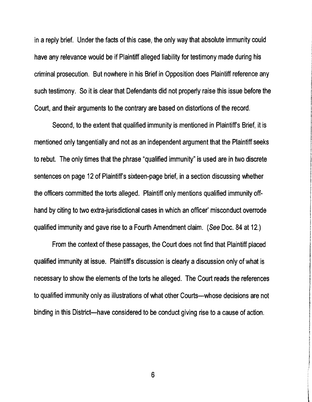in a reply brief. Under the facts of this case, the only way that absolute immunity could have any relevance would be if Plaintiff alleged liability for testimony made during his criminal prosecution. But nowhere in his Brief in Opposition does Plaintiff reference any such testimony. So it is clear that Defendants did not properly raise this issue before the Court, and their arguments to the contrary are based on distortions of the record.

Second, to the extent that qualified immunity is mentioned in Plaintiffs Brief, it is mentioned only tangentially and not as an independent argument that the Plaintiff seeks to rebut. The only times that the phrase "qualified immunity" is used are in two discrete sentences on page 12 of Plaintiff's sixteen-page brief, in a section discussing whether the officers committed the torts alleged. Plaintiff only mentions qualified immunity offhand by citing to two extra-jurisdictional cases in which an officer' misconduct overrode qualified immunity and gave rise to aFourth Amendment claim. (See Doc. 84 at 12.)

From the context of these passages, the Court does not find that Plaintiff placed qualified immunity at issue. Plaintiffs discussion is clearly adiscussion only of what is necessary to show the elements of the torts he alleged. The Court reads the references to qualified immunity only as illustrations of what other Courts—whose decisions are not binding in this District—have considered to be conduct giving rise to a cause of action.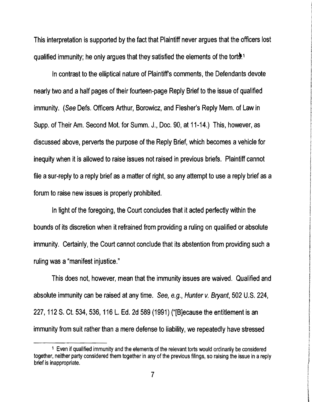This interpretation is supported by the fact that Plaintiff never argues that the officers lost qualified immunity; he only argues that they satisfied the elements of the torts.<sup>1</sup>

In contrast to the elliptical nature of Plaintiff's comments, the Defendants devote nearly two and a half pages of their fourteen-page Reply Brief to the issue of qualified immunity. (See Defs. Officers Arthur, Borowicz, and Flesher's Reply Mem. of Law in Supp. of Their Am. Second Mot. for Summ. J., Doc. 90, at 11-14.) This, however, as discussed above, perverts the purpose of the Reply Brief, which becomes avehicle for inequity when it is allowed to raise issues not raised in previous briefs. Plaintiff cannot file a sur-reply to a reply brief as a matter of right, so any attempt to use a reply brief as a forum to raise new issues is properly prohibited.

In light of the foregoing, the Court concludes that it acted perfectly within the bounds of its discretion when it refrained from providing aruling on qualified or absolute immunity. Certainly, the Court cannot conclude that its abstention from providing such a ruling was a"manifest injustice."

This does not, however, mean that the immunity issues are waived. Qualified and absolute immunity can be raised at any time. See, e.g., Hunter v. Bryant, 502 U.S. 224, 227, 112 S. Ct. 534, 536, 116 L. Ed. 2d 589 (1991) ("[B]ecause the entitlement is an immunity from suit rather than a mere defense to liability, we repeatedly have stressed

<sup>1</sup>  Even if qualified immunity and the elements of the relevant torts would ordinarily be considered together, neither party considered them together in any of the previous filings, so raising the issue in areply brief is inappropriate.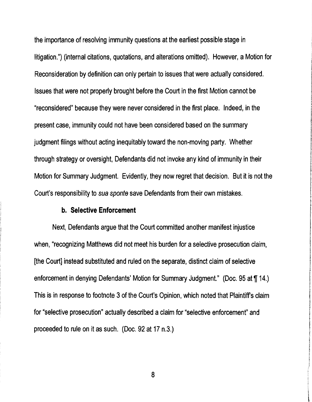the importance of resolving immunity questions at the earliest possible stage in litigation.") (internal citations, quotations, and alterations omitted). However, a Motion for Reconsideration by definition can only pertain to issues that were actually considered. Issues that were not properly brought before the Court in the first Motion cannot be "reconsidered" because they were never considered in the first place. Indeed, in the present case, immunity could not have been considered based on the summary judgment filings without acting inequitably toward the non-moving party. Whether through strategy or oversight, Defendants did not invoke any kind of immunity in their Motion for Summary Judgment. Evidently, they now regret that decision. But it is not the Court's responsibility to sua sponte save Defendants from their own mistakes.

### b. **Selective Enforcement**

Next, Defendants argue that the Court committed another manifest injustice when, "recognizing Matthews did not meet his burden for aselective prosecution claim, [the Court] instead substituted and ruled on the separate, distinct claim of selective enforcement in denying Defendants' Motion for Summary Judgment." (Doc. 95 at ¶ 14.) This is in response to footnote 3 of the Court's Opinion, which noted that Plaintiff's claim for "selective prosecution" actually described aclaim for "selective enforcement" and proceeded to rule on it as such. (Doc. 92 at 17 n.3.)

8

**ISLAND COMPANY** 

in particularly and ! i<br>indiana Janeiro de L

,

la provincia de la companya de la companya de la companya de la companya de la companya de la companya de la c<br>La companya de la companya de la companya de la companya de la companya de la companya de la companya de la co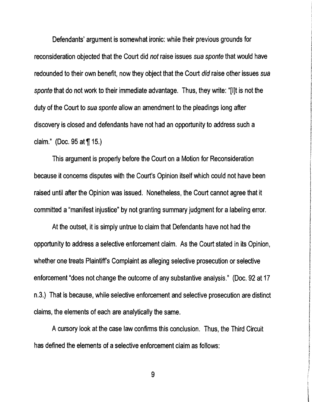Defendants' argument is somewhat ironic: while their previous grounds for reconsideration objected that the Court did not raise issues sua sponte that would have redounded to their own benefit, now they object that the Court did raise other issues sua sponte that do not work to their immediate advantage. Thus, they write: "[I]t is not the duty of the Court to sua sponte allow an amendment to the pleadings long after discovery is closed and defendants have not had an opportunity to address such a claim." (Doc.  $95$  at  $\P$  15.)

This argument is properly before the Court on a Motion for Reconsideration because it concerns disputes with the Court's Opinion itself which could not have been raised until after the Opinion was issued. Nonetheless, the Court cannot agree that it committed a"manifest injustice" by not granting summary judgment for alabeling error.

At the outset, it is simply untrue to claim that Defendants have not had the opportunity to address aselective enforcement claim. As the Court stated in its Opinion, whether one treats Plaintiffs Complaint as alleging selective prosecution or selective enforcement "does not change the outcome of any substantive analysis." (Doc. 92 at 17 n.3.) That is because, while selective enforcement and selective prosecution are distinct claims, the elements of each are analytically the same.

Acursory look at the case law confirms this conclusion. Thus, the Third Circuit has defined the elements of aselective enforcement claim as follows: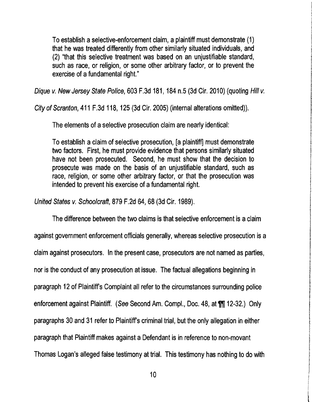To establish a selective-enforcement claim, a plaintiff must demonstrate (1) that he was treated differently from other similarly situated individuals, and (2) "that this selective treatment was based on an unjustifiable standard, such as race, or religion, or some other arbitrary factor, or to prevent the exercise of a fundamental right."

Dique v. New Jersey State Police, 603 F.3d 181, 184 n.5 (3d Cir. 2010) (quoting Hill v.

City of Scranton, 411 F.3d 118, 125 (3d Cir. 2005) (internal alterations omitted)).

The elements of aselective prosecution claim are nearly identical:

To establish a claim of selective prosecution, [a plaintifl] must demonstrate two factors. First, he must provide evidence that persons similarly situated have not been prosecuted. Second, he must show that the decision to prosecute was made on the basis of an unjustifiable standard, such as race, religion, or some other arbitrary factor, or that the prosecution was intended to prevent his exercise of a fundamental right.

United States V. Schoo/craft, 879 F.2d 64, 68 (3d Cir. 1989).

The difference between the two claims is that selective enforcement is aclaim against government enforcement officials generally, whereas selective prosecution is a claim against prosecutors. In the present case, prosecutors are not named as parties, nor is the conduct of any prosecution at issue. The factual allegations beginning in paragraph 12 of Plaintiff's Complaint all refer to the circumstances surrounding police enforcement against Plaintiff. (See Second Am. Compl., Doc. 48, at  $\P\P$  12-32.) Only paragraphs 30 and 31 refer to Plaintiff's criminal trial, but the only allegation in either paragraph that Plaintiff makes against a Defendant is in reference to non-movant Thomas Logan's alleged false testimony at trial. This testimony has nothing to do with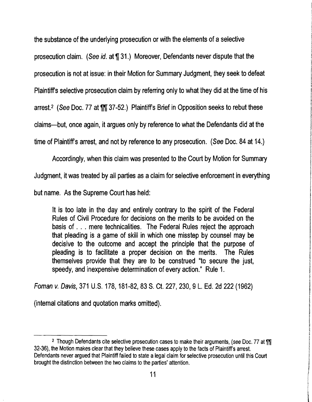the substance of the underlying prosecution or with the elements of a selective prosecution claim. (See id. at **1** 31.) Moreover, Defendants never dispute that the prosecution is not at issue: in their Motion for Summary Judgment, they seek to defeat Plaintiff's selective prosecution claim by referring only to what they did at the time of his arrest.<sup>2</sup> (See Doc. 77 at  $\sqrt{11}$  37-52.) Plaintiff's Brief in Opposition seeks to rebut these claims—but, once again, it argues only by reference to what the Defendants did at the time of Plaintiff's arrest, and not by reference to any prosecution. (See Doc. 84 at 14.)

Accordingly, when this claim was presented to the Court by Motion for Summary Judgment, it was treated by all parties as aclaim for selective enforcement in everything but name. As the Supreme Court has held:

It is too late in the day and entirely contrary to the spirit of the Federal Rules of Civil Procedure for decisions on the merits to be avoided on the basis of ... mere technicalities. The Federal Rules reject the approach that pleading is a game of skill in which one misstep by counsel may be decisive to the outcome and accept the principle that the purpose of pleading is to facilitate a proper decision on the merits. The Rules themselves provide that they are to be construed "to secure the just, speedy, and inexpensive determination of every action." Rule 1.

المتخلف معافيه

r<br>Francesco<br>Francesco

f

en ingen

r

**INSURANCE AND INSURANCE AND INSURANCE AND INSURANCE AND INSURANCE AND INSURANCE AND INSURANCE AND INSURANCE AND INSURANCE AND INSURANCE AND INSURANCE AND INSURANCE AND INSURANCE And include and include and include and inc** 

Foman v. Davis, 371 U.S. 178, 181-82, 83 S. Ct. 227, 230, 9 L. Ed. 2d 222 (1962)

(internal citations and quotation marks omitted). 1

<sup>&</sup>lt;sup>2</sup> Though Defendants cite selective prosecution cases to make their arguments, (see Doc. 77 at 11) 32-36), the Motion makes clear that they believe these cases apply to the facts of Plaintiff's arrest. Defendants never argued that Plaintiff failed to state a legal claim for selective prosecution until this Court ! brought the distinction between the two claims to the parties' attention.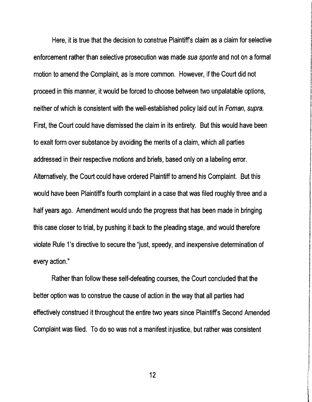Here, it is true that the decision to construe Plaintiffs claim as aclaim for selective enforcement rather than selective prosecution was made sua sponte and not on aformal motion to amend the Complaint, as is more common. However, if the Court did not proceed in this manner, it would be forced to choose between two unpalatable options, neither of which is consistent with the well-established policy laid out in Foman, supra. First, the Court could have dismissed the claim in its entirety. But this would have been to exalt form over substance by avoiding the merits of a claim, which all parties addressed in their respective motions and briefs, based only on a labeling error. Alternatively, the Court could have ordered Plaintiff to amend his Complaint. But this would have been Plaintiffs fourth complaint in acase that was filed roughly three and a half years ago. Amendment would undo the progress that has been made in bringing this case closer to trial, by pushing it back to the pleading stage, and would therefore violate Rule 1's directive to secure the "just, speedy, and inexpensive determination of every action."

**International Contents International Action** the mainless of **there** are no

**INFORMATION** 

**finder** 

*Family Co.* 

f

**International** 

**the contracts** 

t

**ficial confidence** 

in the state of the state of the state of the state of the state of the state of the state of the state of the<br>All of the state of the state of the state of the state of the state of the state of the state of the state of

i<br>Inter**national content and international content** 

I r

**Institute of AMORGANISM** 

Rather than follow these self-defeating courses, the Court concluded that the better option was to construe the cause of action in the way that all parties had<br>
I effectively construed it throughout the entire two years since Plaintiff's Second Amended Complaint was filed. To do so was not amanifest injustice, but rather was consistent